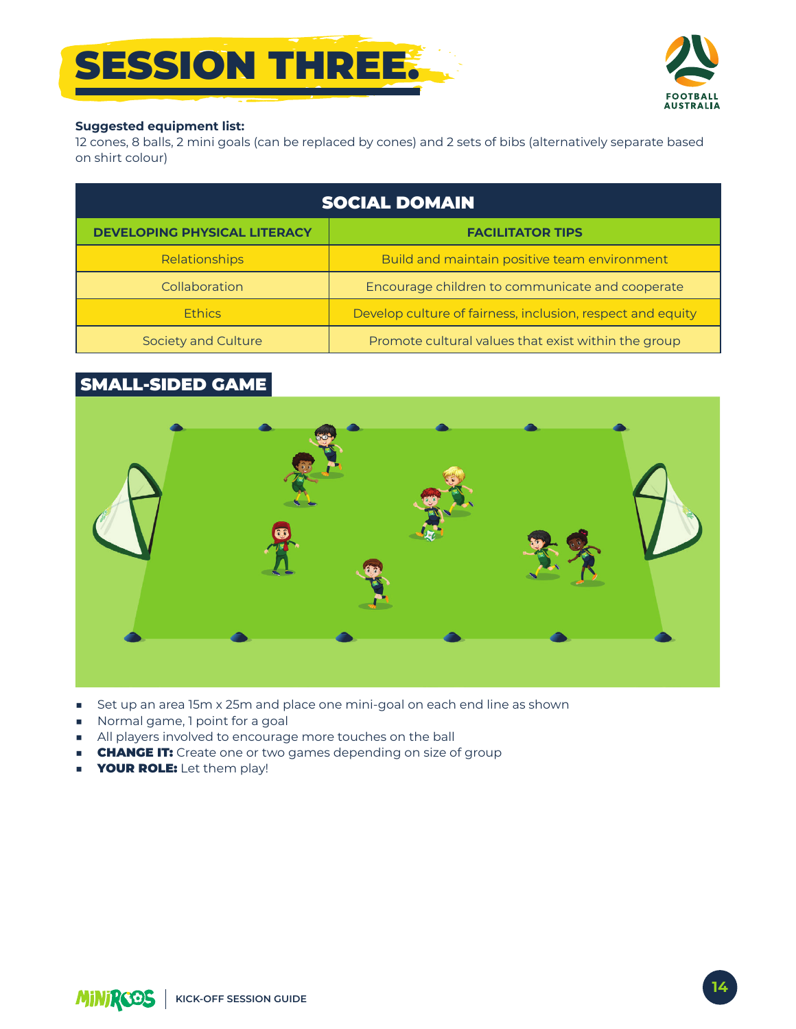# **SESSION THREE:**



#### **Suggested equipment list:**

12 cones, 8 balls, 2 mini goals (can be replaced by cones) and 2 sets of bibs (alternatively separate based on shirt colour)

| <b>SOCIAL DOMAIN</b>                |                                                            |
|-------------------------------------|------------------------------------------------------------|
| <b>DEVELOPING PHYSICAL LITERACY</b> | <b>FACILITATOR TIPS</b>                                    |
| Relationships                       | Build and maintain positive team environment               |
| Collaboration                       | Encourage children to communicate and cooperate            |
| <b>Ethics</b>                       | Develop culture of fairness, inclusion, respect and equity |
| Society and Culture                 | Promote cultural values that exist within the group        |

### **SMALL-SIDED GAME**



- Set up an area 15m x 25m and place one mini-goal on each end line as shown
- Normal game, 1 point for a goal
- All players involved to encourage more touches on the ball
- **CHANGE IT:** Create one or two games depending on size of group
- **YOUR ROLE:** Let them play!  $\blacksquare$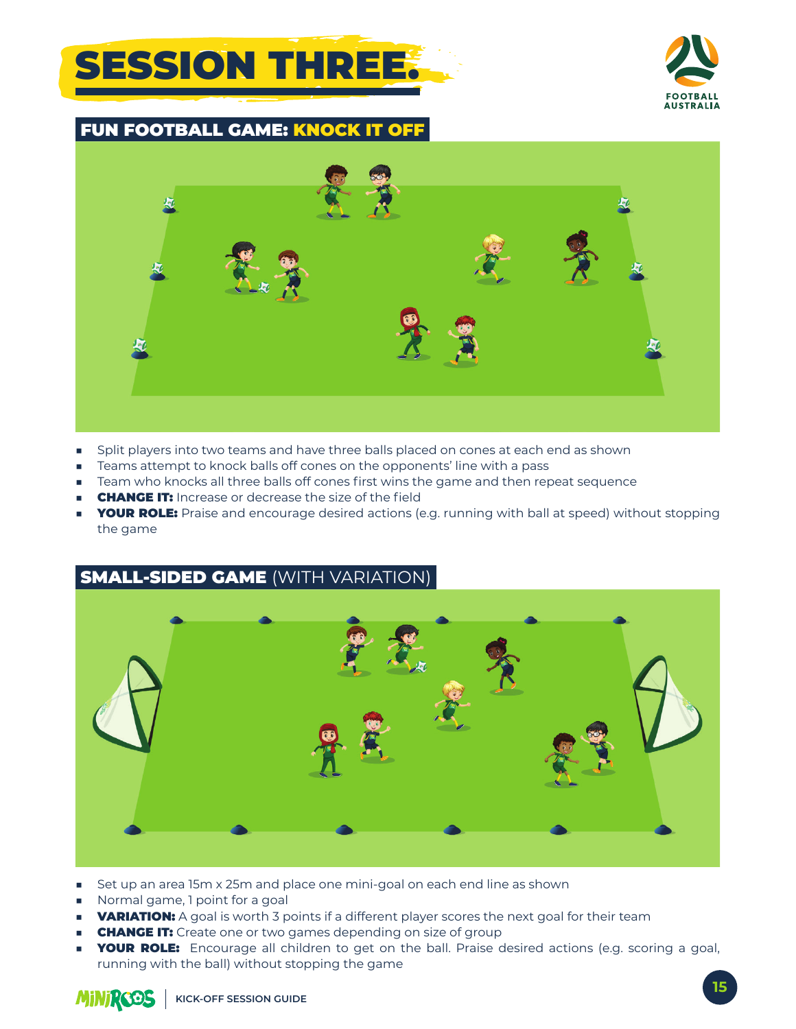### **SESSION THREE:**



FUN FOOTBALL GAME: KNOCK IT OFF



- Split players into two teams and have three balls placed on cones at each end as shown
- Teams attempt to knock balls off cones on the opponents' line with a pass
- Team who knocks all three balls off cones first wins the game and then repeat sequence
- **CHANGE IT:** Increase or decrease the size of the field
- **YOUR ROLE:** Praise and encourage desired actions (e.g. running with ball at speed) without stopping the game

#### SMALL-SIDED GAME (WITH VARIATION)



- Set up an area 15m x 25m and place one mini-goal on each end line as shown
- Normal game, 1 point for a goal
- **VARIATION:** A goal is worth 3 points if a different player scores the next goal for their team
- **CHANGE IT:** Create one or two games depending on size of group
- **YOUR ROLE:** Encourage all children to get on the ball. Praise desired actions (e.g. scoring a goal, running with the ball) without stopping the game